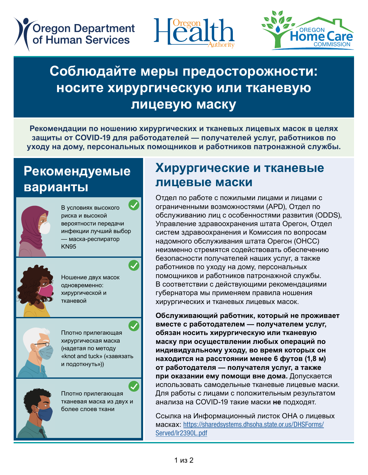**Oregon Department** of Human Services





# соолюдайте меры предосторожности<br>Носите хирургическую или тканевую **COVERT FACE COVERTING**<br>COVERTING FACE COVERNANCE Соблюдайте меры предосторожности:<br>**иосите хирургическую или тканевую** Cloth Face Covering **носите хирургическую или тканевую**

текомендации по пошению хирургических и тканевых лицевых масок в целях<br>защиты от COVID-19 для работодателей — получателей услуг, работников по защиты от СОVID-тэ для работодателей — получателей услуг, работников по<br>уходу на дому, персональных помощников и работников патронажной службы. Рекомендации по ношению хирургических и тканевых лицевых масок в целях

#### р<br>Рекомендуе<br>Серионти и KN95 or respirator варианты<br>————————— **Рекомендуемые**



—<br>В условиях высокого риска и высокой<br>вероятности передачи вероятности передачи<br>инфекции лучший выбор инфекции лучшии выоор<br>— маска-респиратор<br>KN95 приска и высокой В условиях высокого<br>риска и высокой KN95

Double masking



<u>Double maskings</u> тешение двух масек<br>одновременно:<br>хирургической и -днээрэмэгигэг<br>хирургической и<br>тканевой Ношение двух масок<br>Спистромошие тканевой<br>тканевой



гиотно прилегающая<br>хирургическая маска<br>(чалотоя по мотолу was and tuck» («завязать»)<br>«knot and tuck» («завязать<br>и полоткнуть»)) и подоткнуть»)) $\overline{\phantom{a}}$ mpypm reskam mask<br>(надетая по методу)<br>«knot and tuck» («зав —<br>Плотно прилегающая<br>………………………

A cloth mask with two or more with two or more тканевая маска из двух и более слоев ткани —<br>Плотно прилегающая<br>Тконовая маска на дву

good fit

good fit

### AMPJPTH TOOMO AT MANDBBIO Masks and cloth face coverings Masks and cloth face coverings Masks and cloth face coverings **Хирургические и тканевые лицевые маски**

<u>Авин Ремски мисели.</u><br>Адел по работе с пожилыми лицами и лицами с Отдел по раооте с пожилыми лицами и лицами с<br>ограниченными возможностями (APD), Отдел по , обслуживанию лиц с особенностями развития (ODDS),<br>Управление здравоохранения штата Operau, Отдел оправление здравоохранения штата Орегон, Отдел<br>систем здравоохранения и Комиссия по вопросам систем здравоохранения и комиссия по вопросам<br>надомного обслуживания штата Орегон (ОНСС) неизменно стремятся содеиствовать ооеспечению<br>безопасности получателей наших услуг, а также освопасности нолучателей наших услуг, а также<br>работников по уходу на дому, персональных работников по уходу на дому, переональных<br>помощников и работников патронажной службы. ь соответствии с деиствующими рекомендация<br>губернатора мы применяем правила ношения хирургических и тканевых лицевых масок. **ОССЛУЖИВАНИЮ ЛИЦ С СОССОННОСТЯМИ расвитил (СОВВО)**<br>Управление здравоохранения штата Орегон, Отдел надомного оослуживания штата Орегон (ОНСС)<br>неизменно стремятся содействовать обеспечению workers to personal care at the care at the start<br>безопасности получателей наших услуг, а также помощников и раоотников патронажной служов<br>В соответствии с действующими рекомендация губернатора мы применяем правила ношения Отдел по работе с пожилыми лицами и лицами с ограниченными возможностями (APD), Отдел по<br>Обслуживанию пин с особенностями развития (ODDS) неизменно стремятся содействовать обеспечению<br>безопесности получателей наших колкг, а также В соответствии с действующими рекомендациями<br>губернэторэ мы применяем прэвилэ ношения

ии и советанов и советании.<br>Обслуживающий работник, который не прох вместе с раоотодателем — получателем услуг,<br>обязан носить хирургическую или тканевую ооязан носить хирургическую или тканевую<br>маску при осуществлении любых операций по person care within 6 feet of the consumer-person care within 6 feet of the consumer-employer or when supporting them in the **индивидуальному уходу, во время которых он**  находится на расстоянии менее о футов <sub>(1,0 м)</sub><br>от работодателя — получателя услуг, а также от раоотодателя — получателя услуг, а так<br>при оказании ему помощи вне дома. Допуск использовать самодельные тканевые лицевые маски.<br>Пля работы с лицами с положительным результатом. дии разоты элицами в поломительным результания на COVID-19 такие маски не подходят. сослуживающий работник, который не прожива<br>вместе с работодателем — получателем услуг, employer or when supporting them in the employer or when supporting them in the **находится на расстоянии менее 6 футов (1,8 м)**  who are COVID-19 positive. Manuscript Angles Covid-19 positive.<br>Для работы с лицами с положительным результатом **иски саре методичествлении любых операций по**<br>индивидуал ному ухолу, во время которы у он **при оказании ему помощи вне дома.** Допускается<br>использовать самолельные тизневые лицевые маск Обслуживающий работник, который не проживает

Linux hard Covering Factor: https://data.html<br>Ссылка на Информационный листок ОНА о л Ссылка на информационный листок ОНА о лицевь<br>масках: https://shareds[ystems.dhsoha.state.or.us/DHSForms](https://sharedsystems.dhsoha.state.or.us/DHSForms/Served/lr2390L.pdf)/<br>Served/Ir2390L ndf Served<sub>1</sub> Served/le2390L.pdf [Served/le2390](https://sharedsystems.dhsoha.state.or.us/DHSForms/Served/lr2390L.pdf)L.pdf Served/lr2390L.pdf Ссылка на Информационный листок ОНА о лицевых Mackax: https://sharedsystems.dhsoha.state.or.us/DHSForms/<br>Served/Ir2200L.pdf